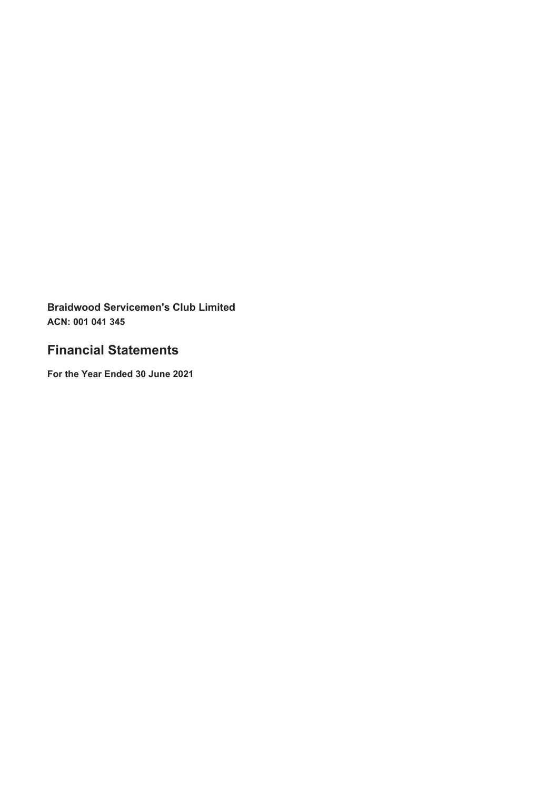# **Financial Statements**

For the Year Ended 30 June 2021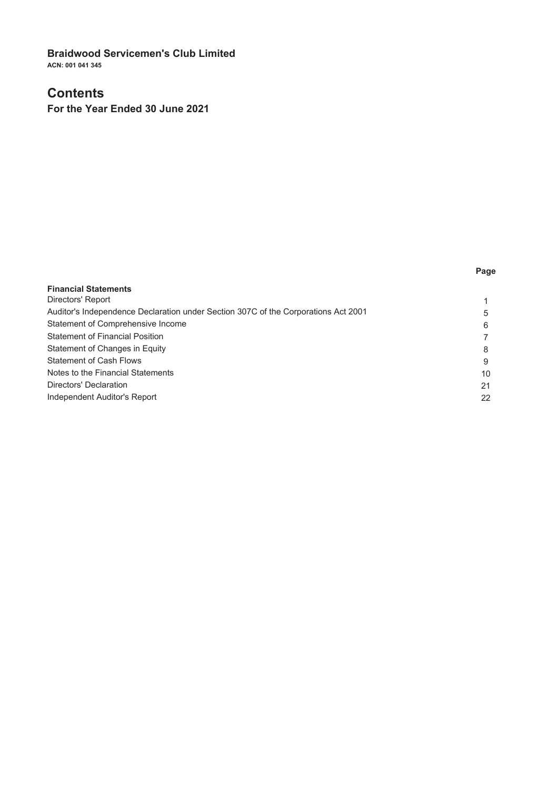### **Contents**

For the Year Ended 30 June 2021

#### Page

| <b>Financial Statements</b>                                                        |    |
|------------------------------------------------------------------------------------|----|
| Directors' Report                                                                  |    |
| Auditor's Independence Declaration under Section 307C of the Corporations Act 2001 | 5  |
| Statement of Comprehensive Income                                                  | 6  |
| <b>Statement of Financial Position</b>                                             |    |
| Statement of Changes in Equity                                                     | 8  |
| <b>Statement of Cash Flows</b>                                                     | 9  |
| Notes to the Financial Statements                                                  | 10 |
| Directors' Declaration                                                             | 21 |
| Independent Auditor's Report                                                       | 22 |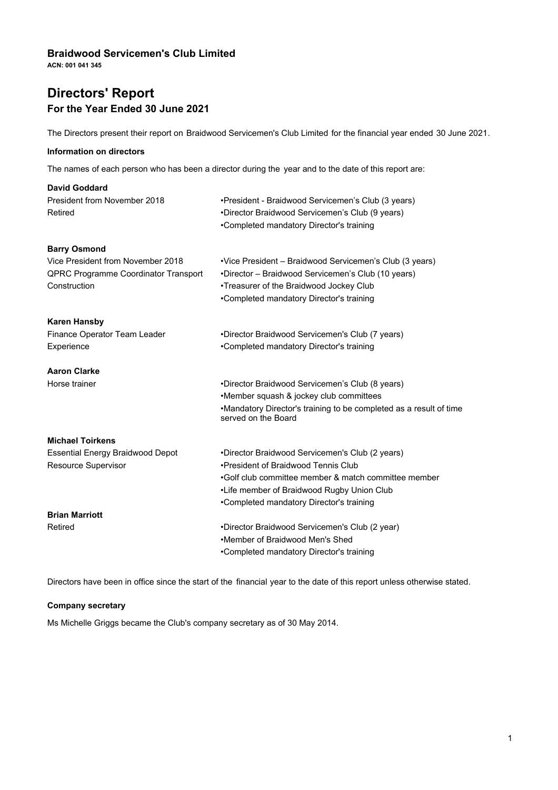**ACN: 001 041 345**

# **Directors' Report For the Year Ended 30 June 2021**

The Directors present their report on Braidwood Servicemen's Club Limited for the financial year ended 30 June 2021.

### **Information on directors**

The names of each person who has been a director during the year and to the date of this report are:

| David Goddard                           |                                                                                           |
|-----------------------------------------|-------------------------------------------------------------------------------------------|
| President from November 2018            | •President - Braidwood Servicemen's Club (3 years)                                        |
| Retired                                 | •Director Braidwood Servicemen's Club (9 years)                                           |
|                                         | •Completed mandatory Director's training                                                  |
| <b>Barry Osmond</b>                     |                                                                                           |
| Vice President from November 2018       | •Vice President – Braidwood Servicemen's Club (3 years)                                   |
| QPRC Programme Coordinator Transport    | *Director - Braidwood Servicemen's Club (10 years)                                        |
| Construction                            | •Treasurer of the Braidwood Jockey Club                                                   |
|                                         | •Completed mandatory Director's training                                                  |
| <b>Karen Hansby</b>                     |                                                                                           |
| Finance Operator Team Leader            | •Director Braidwood Servicemen's Club (7 years)                                           |
| Experience                              | •Completed mandatory Director's training                                                  |
| <b>Aaron Clarke</b>                     |                                                                                           |
| Horse trainer                           | •Director Braidwood Servicemen's Club (8 years)                                           |
|                                         | •Member squash & jockey club committees                                                   |
|                                         | •Mandatory Director's training to be completed as a result of time<br>served on the Board |
| <b>Michael Toirkens</b>                 |                                                                                           |
| <b>Essential Energy Braidwood Depot</b> | •Director Braidwood Servicemen's Club (2 years)                                           |
| Resource Supervisor                     | . President of Braidwood Tennis Club                                                      |
|                                         | •Golf club committee member & match committee member                                      |
|                                         | •Life member of Braidwood Rugby Union Club                                                |
|                                         | •Completed mandatory Director's training                                                  |
| <b>Brian Marriott</b>                   |                                                                                           |
| Retired                                 | •Director Braidwood Servicemen's Club (2 year)                                            |
|                                         | •Member of Braidwood Men's Shed                                                           |
|                                         | •Completed mandatory Director's training                                                  |

Directors have been in office since the start of the financial year to the date of this report unless otherwise stated.

#### **Company secretary**

Ms Michelle Griggs became the Club's company secretary as of 30 May 2014.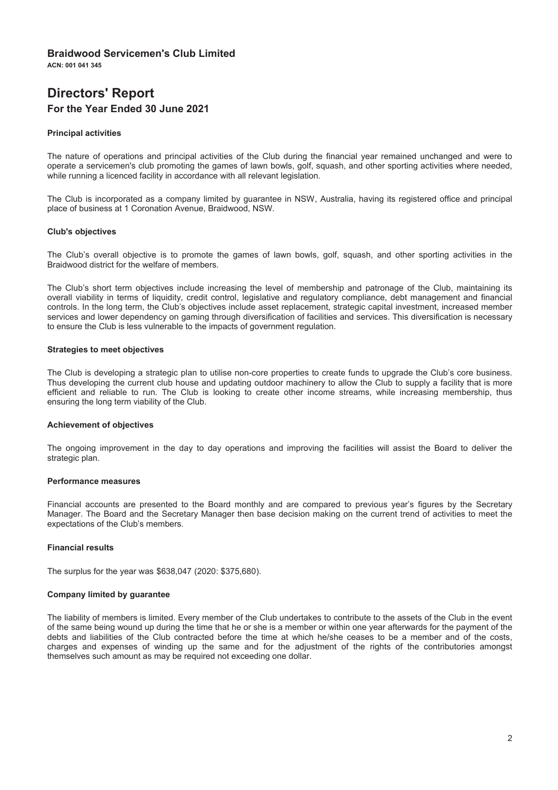$ACN: O04$  $O44$  $245$ 

# **Directors' Report** For the Year Ended 30 June 2021

#### **Principal activities**

The nature of operations and principal activities of the Club during the financial year remained unchanged and were to operate a servicemen's club promoting the games of lawn bowls, golf, squash, and other sporting activities where needed, while running a licenced facility in accordance with all relevant legislation.

The Club is incorporated as a company limited by guarantee in NSW, Australia, having its registered office and principal place of business at 1 Coronation Avenue, Braidwood, NSW.

#### **Club's objectives**

The Club's overall objective is to promote the games of lawn bowls, golf, squash, and other sporting activities in the Braidwood district for the welfare of members.

The Club's short term objectives include increasing the level of membership and patronage of the Club, maintaining its overall viability in terms of liquidity, credit control, legislative and regulatory compliance, debt management and financial controls. In the long term, the Club's objectives include asset replacement, strategic capital investment, increased member services and lower dependency on gaming through diversification of facilities and services. This diversification is necessary to ensure the Club is less vulnerable to the impacts of government regulation.

#### **Strategies to meet objectives**

The Club is developing a strategic plan to utilise non-core properties to create funds to upgrade the Club's core business. Thus developing the current club house and updating outdoor machinery to allow the Club to supply a facility that is more efficient and reliable to run. The Club is looking to create other income streams, while increasing membership, thus ensuring the long term viability of the Club.

#### **Achievement of objectives**

The ongoing improvement in the day to day operations and improving the facilities will assist the Board to deliver the strategic plan.

#### Performance measures

Financial accounts are presented to the Board monthly and are compared to previous year's figures by the Secretary Manager. The Board and the Secretary Manager then base decision making on the current trend of activities to meet the expectations of the Club's members.

#### **Financial results**

The surplus for the year was \$638,047 (2020: \$375,680).

#### **Company limited by quarantee**

The liability of members is limited. Every member of the Club undertakes to contribute to the assets of the Club in the event of the same being wound up during the time that he or she is a member or within one year afterwards for the payment of the debts and liabilities of the Club contracted before the time at which he/she ceases to be a member and of the costs, charges and expenses of winding up the same and for the adjustment of the rights of the contributories amongst themselves such amount as may be required not exceeding one dollar.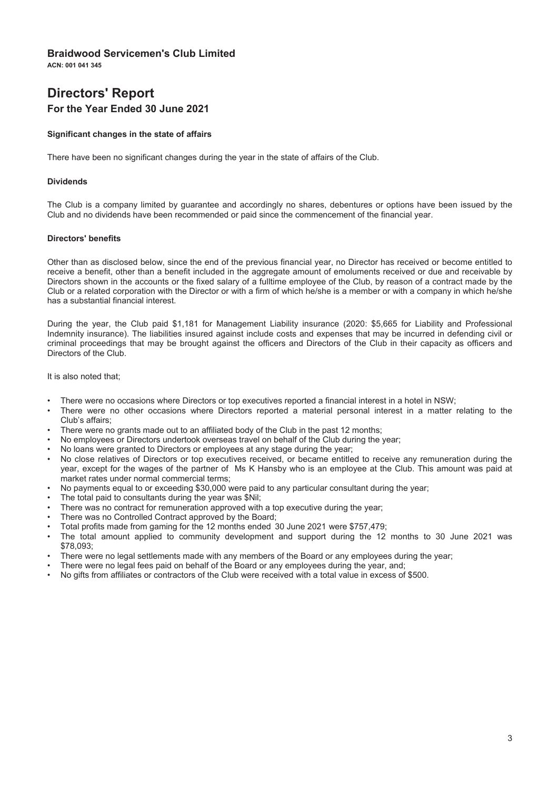ACN: 001 041 345

# **Directors' Report** For the Year Ended 30 June 2021

#### Significant changes in the state of affairs

There have been no significant changes during the year in the state of affairs of the Club.

#### **Dividends**

The Club is a company limited by guarantee and accordingly no shares, debentures or options have been issued by the Club and no dividends have been recommended or paid since the commencement of the financial year.

#### **Directors' benefits**

Other than as disclosed below, since the end of the previous financial year, no Director has received or become entitled to receive a benefit, other than a benefit included in the aggregate amount of emoluments received or due and receivable by Directors shown in the accounts or the fixed salary of a fulltime employee of the Club, by reason of a contract made by the Club or a related corporation with the Director or with a firm of which he/she is a member or with a company in which he/she has a substantial financial interest.

During the year, the Club paid \$1,181 for Management Liability insurance (2020: \$5,665 for Liability and Professional Indemnity insurance). The liabilities insured against include costs and expenses that may be incurred in defending civil or criminal proceedings that may be brought against the officers and Directors of the Club in their capacity as officers and Directors of the Club.

It is also noted that:

- There were no occasions where Directors or top executives reported a financial interest in a hotel in NSW:
- There were no other occasions where Directors reported a material personal interest in a matter relating to the Club's affairs:
- There were no grants made out to an affiliated body of the Club in the past 12 months:
- No employees or Directors undertook overseas travel on behalf of the Club during the year;
- No loans were granted to Directors or employees at any stage during the year;
- No close relatives of Directors or top executives received, or became entitled to receive any remuneration during the year, except for the wages of the partner of Ms K Hansby who is an employee at the Club. This amount was paid at market rates under normal commercial terms:
- No payments equal to or exceeding \$30,000 were paid to any particular consultant during the year;
- The total paid to consultants during the year was \$Nil;
- There was no contract for remuneration approved with a top executive during the year;
- There was no Controlled Contract approved by the Board;
- Total profits made from gaming for the 12 months ended 30 June 2021 were \$757,479;
- The total amount applied to community development and support during the 12 months to 30 June 2021 was \$78.093:
- There were no legal settlements made with any members of the Board or any employees during the year:
- There were no legal fees paid on behalf of the Board or any employees during the year, and;
- No gifts from affiliates or contractors of the Club were received with a total value in excess of \$500.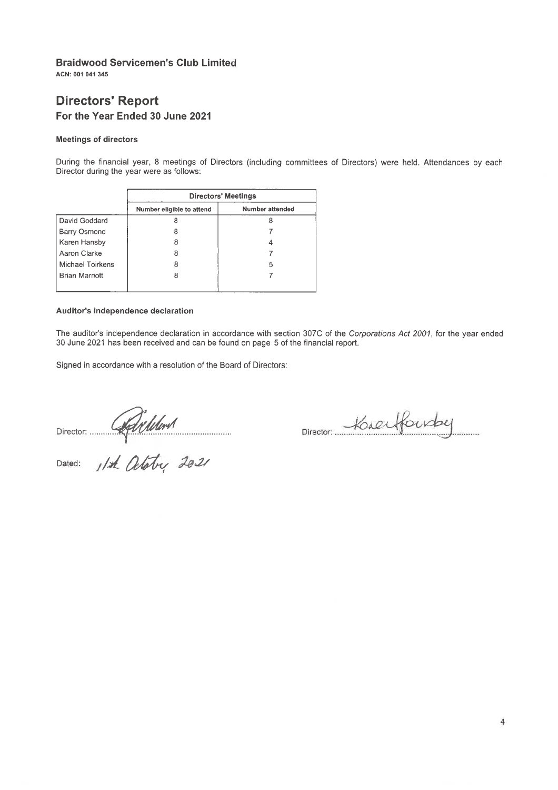ACN: 001 041 345

# **Directors' Report** For the Year Ended 30 June 2021

#### **Meetings of directors**

During the financial year, 8 meetings of Directors (including committees of Directors) were held. Attendances by each Director during the year were as follows:

|                       | <b>Directors' Meetings</b> |                 |
|-----------------------|----------------------------|-----------------|
|                       | Number eligible to attend  | Number attended |
| David Goddard         |                            |                 |
| Barry Osmond          |                            |                 |
| Karen Hansby          |                            |                 |
| Aaron Clarke          |                            |                 |
| Michael Toirkens      | 8                          | 5               |
| <b>Brian Marriott</b> | 8                          |                 |
|                       |                            |                 |

#### Auditor's independence declaration

The auditor's independence declaration in accordance with section 307C of the Corporations Act 2001, for the year ended 30 June 2021 has been received and can be found on page 5 of the financial report.

Signed in accordance with a resolution of the Board of Directors:

Director: Adrillerd

Director: Kreifourby . . . . . . . . .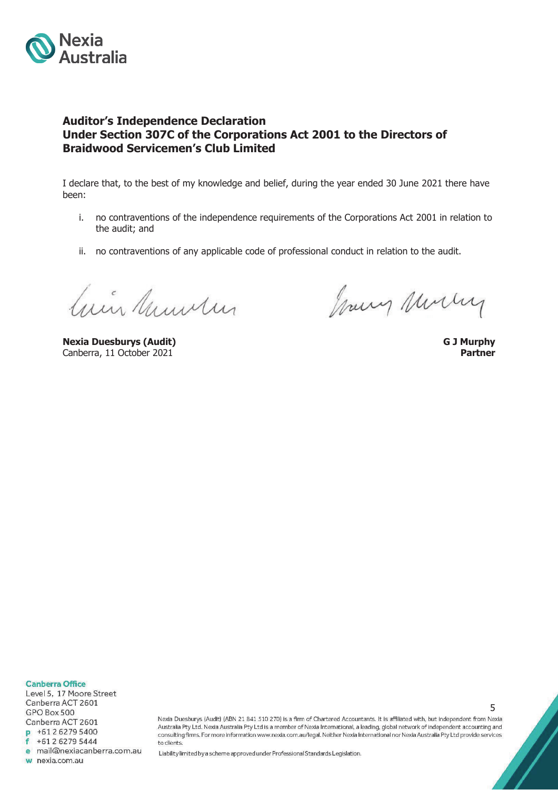

### **Auditor's Independence Declaration Under Section 307C of the Corporations Act 2001 to the Directors of Braidwood Servicemen's Club Limited**

I declare that, to the best of my knowledge and belief, during the year ended 30 June 2021 there have been:

- i. no contraventions of the independence requirements of the Corporations Act 2001 in relation to the audit; and
- ii. no contraventions of any applicable code of professional conduct in relation to the audit.

Cuir Municipal

**Nexia Duesburys (Audit) G J Murphy** Canberra, 11 October 2021 **Partner**

Joury Murry

Nexia Duesburys (Audit) (ABN 21 841 510 270) is a firm of Chartered Accountants. It is affiliated with, but independent from Nexia Australia Pty Ltd. Nexia Australia Pty Ltd is a member of Nexia International, a leading, global network of independent accounting and consulting firms. For more information www.nexia.com.au/legal. Neither Nexia International nor Nexia Australia Pty Ltd provide services to clients

Liability limited by a scheme approved under Professional Standards Legislation.

5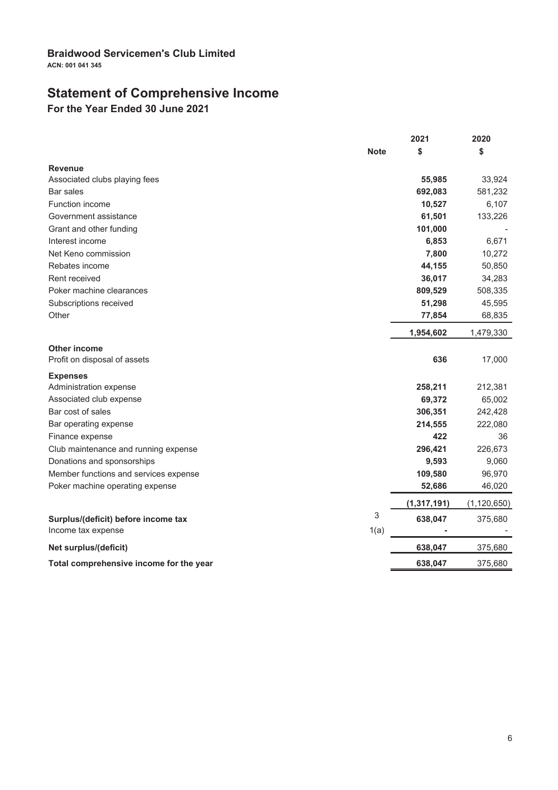ACN: 001 041 345

# **Statement of Comprehensive Income**<br>For the Year Ended 30 June 2021

|                                          | 2021          | 2020          |
|------------------------------------------|---------------|---------------|
| <b>Note</b>                              | \$            | \$            |
| <b>Revenue</b>                           |               |               |
| Associated clubs playing fees            | 55,985        | 33,924        |
| Bar sales                                | 692,083       | 581,232       |
| Function income                          | 10,527        | 6,107         |
| Government assistance                    | 61,501        | 133,226       |
| Grant and other funding                  | 101,000       |               |
| Interest income                          | 6,853         | 6,671         |
| Net Keno commission                      | 7,800         | 10,272        |
| Rebates income                           | 44,155        | 50,850        |
| Rent received                            | 36,017        | 34,283        |
| Poker machine clearances                 | 809,529       | 508,335       |
| Subscriptions received                   | 51,298        | 45,595        |
| Other                                    | 77,854        | 68,835        |
|                                          | 1,954,602     | 1,479,330     |
| Other income                             |               |               |
| Profit on disposal of assets             | 636           | 17,000        |
| <b>Expenses</b>                          |               |               |
| Administration expense                   | 258,211       | 212,381       |
| Associated club expense                  | 69,372        | 65,002        |
| Bar cost of sales                        | 306,351       | 242,428       |
| Bar operating expense                    | 214,555       | 222,080       |
| Finance expense                          | 422           | 36            |
| Club maintenance and running expense     | 296,421       | 226,673       |
| Donations and sponsorships               | 9,593         | 9,060         |
| Member functions and services expense    | 109,580       | 96,970        |
| Poker machine operating expense          | 52,686        | 46,020        |
|                                          | (1, 317, 191) | (1, 120, 650) |
| 3<br>Surplus/(deficit) before income tax | 638,047       | 375,680       |
| 1(a)<br>Income tax expense               |               |               |
| Net surplus/(deficit)                    | 638,047       | 375,680       |
| Total comprehensive income for the year  | 638,047       | 375,680       |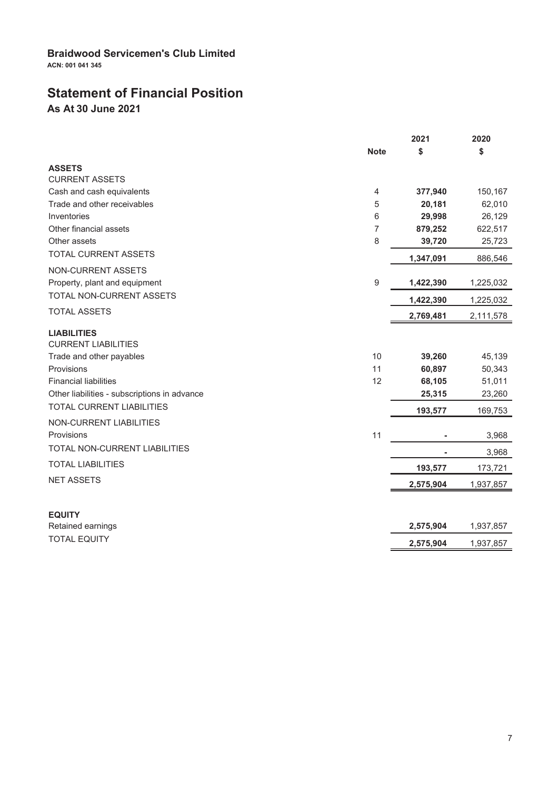# **Statement of Financial Position**

As At 30 June 2021

|                                                  |             | 2021      | 2020      |
|--------------------------------------------------|-------------|-----------|-----------|
|                                                  | <b>Note</b> | \$        | \$        |
| <b>ASSETS</b>                                    |             |           |           |
| <b>CURRENT ASSETS</b>                            |             |           |           |
| Cash and cash equivalents                        | 4           | 377,940   | 150,167   |
| Trade and other receivables                      | 5           | 20,181    | 62,010    |
| Inventories                                      | 6           | 29,998    | 26,129    |
| Other financial assets                           | 7           | 879,252   | 622,517   |
| Other assets                                     | 8           | 39,720    | 25,723    |
| TOTAL CURRENT ASSETS                             |             | 1,347,091 | 886,546   |
| <b>NON-CURRENT ASSETS</b>                        |             |           |           |
| Property, plant and equipment                    | 9           | 1,422,390 | 1,225,032 |
| TOTAL NON-CURRENT ASSETS                         |             | 1,422,390 | 1,225,032 |
| <b>TOTAL ASSETS</b>                              |             | 2,769,481 | 2,111,578 |
| <b>LIABILITIES</b><br><b>CURRENT LIABILITIES</b> |             |           |           |
| Trade and other payables                         | 10          | 39,260    | 45,139    |
| Provisions                                       | 11          | 60,897    | 50,343    |
| <b>Financial liabilities</b>                     | 12          | 68,105    | 51,011    |
| Other liabilities - subscriptions in advance     |             | 25,315    | 23,260    |
| TOTAL CURRENT LIABILITIES                        |             | 193,577   | 169,753   |
| <b>NON-CURRENT LIABILITIES</b>                   |             |           |           |
| Provisions                                       | 11          |           | 3,968     |
| TOTAL NON-CURRENT LIABILITIES                    |             |           | 3,968     |
| <b>TOTAL LIABILITIES</b>                         |             | 193,577   | 173,721   |
| <b>NET ASSETS</b>                                |             | 2,575,904 | 1,937,857 |
| <b>EQUITY</b>                                    |             |           |           |
| Retained earnings                                |             | 2,575,904 | 1,937,857 |
| <b>TOTAL EQUITY</b>                              |             |           | 1,937,857 |
|                                                  |             | 2,575,904 |           |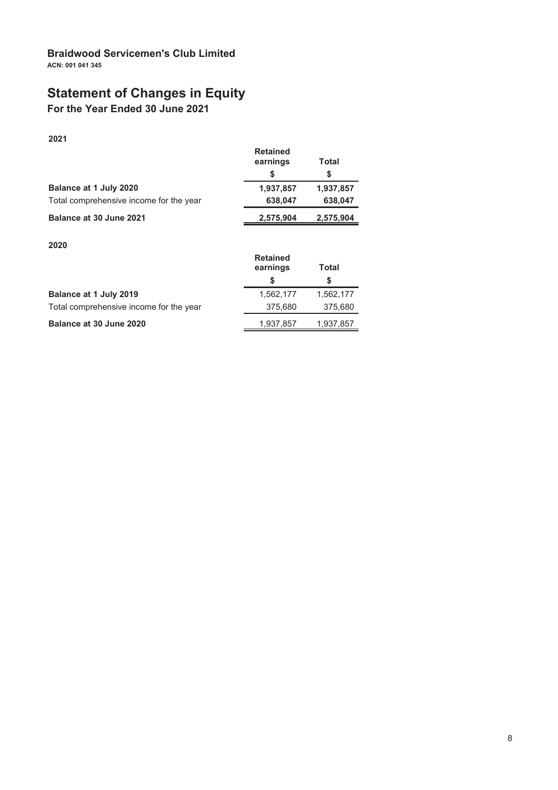# **Statement of Changes in Equity**

For the Year Ended 30 June 2021

2021

|                                         | <b>Retained</b><br>earnings | Total     |
|-----------------------------------------|-----------------------------|-----------|
|                                         |                             | S         |
| Balance at 1 July 2020                  | 1,937,857                   | 1,937,857 |
| Total comprehensive income for the year | 638,047                     | 638,047   |
| Balance at 30 June 2021                 | 2,575,904                   | 2,575,904 |

### 2020

|                                         | <b>Retained</b><br>earnings | Total     |
|-----------------------------------------|-----------------------------|-----------|
|                                         |                             | S         |
| Balance at 1 July 2019                  | 1,562,177                   | 1,562,177 |
| Total comprehensive income for the year | 375,680                     | 375,680   |
| Balance at 30 June 2020                 | 1,937,857                   | 1,937,857 |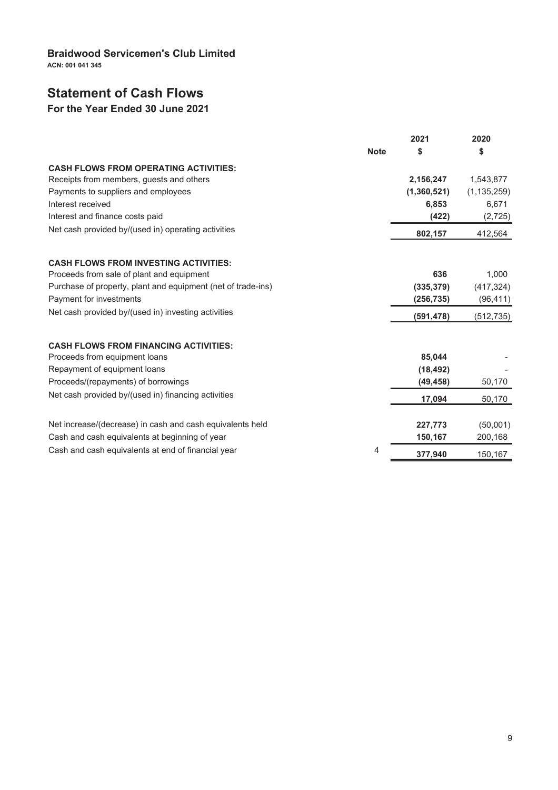ACN: 001 041 345

# **Statement of Cash Flows**

# For the Year Ended 30 June 2021

|                                                              |             | 2021        | 2020          |
|--------------------------------------------------------------|-------------|-------------|---------------|
|                                                              | <b>Note</b> | \$          | \$            |
| <b>CASH FLOWS FROM OPERATING ACTIVITIES:</b>                 |             |             |               |
| Receipts from members, guests and others                     |             | 2,156,247   | 1,543,877     |
| Payments to suppliers and employees                          |             | (1,360,521) | (1, 135, 259) |
| Interest received                                            |             | 6,853       | 6,671         |
| Interest and finance costs paid                              |             | (422)       | (2, 725)      |
| Net cash provided by/(used in) operating activities          |             | 802,157     | 412,564       |
|                                                              |             |             |               |
| <b>CASH FLOWS FROM INVESTING ACTIVITIES:</b>                 |             |             |               |
| Proceeds from sale of plant and equipment                    |             | 636         | 1,000         |
| Purchase of property, plant and equipment (net of trade-ins) |             | (335, 379)  | (417, 324)    |
| Payment for investments                                      |             | (256, 735)  | (96, 411)     |
| Net cash provided by/(used in) investing activities          |             | (591, 478)  | (512, 735)    |
| <b>CASH FLOWS FROM FINANCING ACTIVITIES:</b>                 |             |             |               |
| Proceeds from equipment loans                                |             | 85,044      |               |
| Repayment of equipment loans                                 |             | (18, 492)   |               |
| Proceeds/(repayments) of borrowings                          |             | (49, 458)   | 50,170        |
| Net cash provided by/(used in) financing activities          |             | 17,094      | 50,170        |
|                                                              |             |             |               |
| Net increase/(decrease) in cash and cash equivalents held    |             | 227,773     | (50,001)      |
| Cash and cash equivalents at beginning of year               |             | 150,167     | 200,168       |
| Cash and cash equivalents at end of financial year           | 4           | 377,940     | 150,167       |
|                                                              |             |             |               |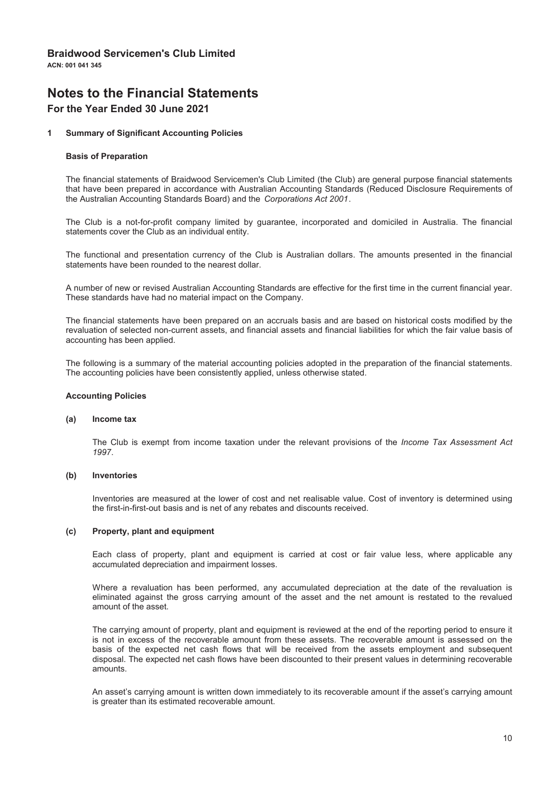# **Notes to the Financial Statements**

### For the Year Ended 30 June 2021

#### $\overline{1}$ **Summary of Significant Accounting Policies**

#### **Basis of Preparation**

The financial statements of Braidwood Servicemen's Club Limited (the Club) are general purpose financial statements that have been prepared in accordance with Australian Accounting Standards (Reduced Disclosure Requirements of the Australian Accounting Standards Board) and the Corporations Act 2001.

The Club is a not-for-profit company limited by quarantee, incorporated and domiciled in Australia. The financial statements cover the Club as an individual entity.

The functional and presentation currency of the Club is Australian dollars. The amounts presented in the financial statements have been rounded to the nearest dollar.

A number of new or revised Australian Accounting Standards are effective for the first time in the current financial year. These standards have had no material impact on the Company.

The financial statements have been prepared on an accruals basis and are based on historical costs modified by the revaluation of selected non-current assets, and financial assets and financial liabilities for which the fair value basis of accounting has been applied.

The following is a summary of the material accounting policies adopted in the preparation of the financial statements. The accounting policies have been consistently applied, unless otherwise stated.

#### **Accounting Policies**

#### $(a)$ Income tax

The Club is exempt from income taxation under the relevant provisions of the Income Tax Assessment Act 1997

#### Inventories  $(b)$

Inventories are measured at the lower of cost and net realisable value. Cost of inventory is determined using the first-in-first-out basis and is net of any rebates and discounts received.

#### $(c)$ Property, plant and equipment

Each class of property, plant and equipment is carried at cost or fair value less, where applicable any accumulated depreciation and impairment losses.

Where a revaluation has been performed, any accumulated depreciation at the date of the revaluation is eliminated against the gross carrying amount of the asset and the net amount is restated to the revalued amount of the asset.

The carrying amount of property, plant and equipment is reviewed at the end of the reporting period to ensure it is not in excess of the recoverable amount from these assets. The recoverable amount is assessed on the basis of the expected net cash flows that will be received from the assets employment and subsequent disposal. The expected net cash flows have been discounted to their present values in determining recoverable amounts.

An asset's carrying amount is written down immediately to its recoverable amount if the asset's carrying amount is greater than its estimated recoverable amount.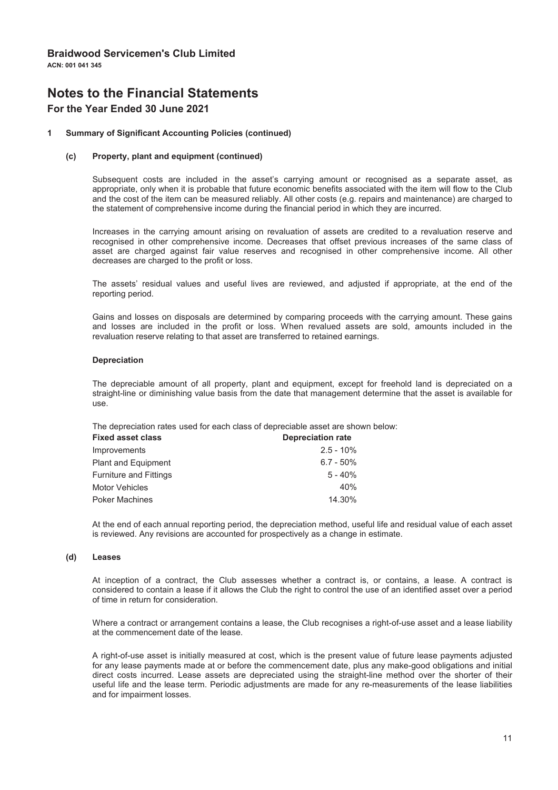# **Notes to the Financial Statements**

### For the Year Ended 30 June 2021

#### **Summary of Significant Accounting Policies (continued)**  $\overline{1}$

#### Property, plant and equipment (continued)  $(c)$

Subsequent costs are included in the asset's carrying amount or recognised as a separate asset, as appropriate, only when it is probable that future economic benefits associated with the item will flow to the Club and the cost of the item can be measured reliably. All other costs (e.g. repairs and maintenance) are charged to the statement of comprehensive income during the financial period in which they are incurred.

Increases in the carrying amount arising on revaluation of assets are credited to a revaluation reserve and recognised in other comprehensive income. Decreases that offset previous increases of the same class of asset are charged against fair value reserves and recognised in other comprehensive income. All other decreases are charged to the profit or loss.

The assets' residual values and useful lives are reviewed, and adjusted if appropriate, at the end of the reporting period.

Gains and losses on disposals are determined by comparing proceeds with the carrying amount. These gains and losses are included in the profit or loss. When revalued assets are sold, amounts included in the revaluation reserve relating to that asset are transferred to retained earnings.

#### **Depreciation**

The depreciable amount of all property, plant and equipment, except for freehold land is depreciated on a straight-line or diminishing value basis from the date that management determine that the asset is available for use.

The depreciation rates used for each class of depreciable asset are shown below:

| <b>Fixed asset class</b><br><b>Depreciation rate</b> |  |
|------------------------------------------------------|--|
| $2.5 - 10\%$                                         |  |
| $6.7 - 50\%$                                         |  |
| $5 - 40%$                                            |  |
| 40%                                                  |  |
| 14.30%                                               |  |
|                                                      |  |

At the end of each annual reporting period, the depreciation method, useful life and residual value of each asset is reviewed. Any revisions are accounted for prospectively as a change in estimate.

#### **Leases**  $(d)$

At inception of a contract, the Club assesses whether a contract is, or contains, a lease. A contract is considered to contain a lease if it allows the Club the right to control the use of an identified asset over a period of time in return for consideration.

Where a contract or arrangement contains a lease, the Club recognises a right-of-use asset and a lease liability at the commencement date of the lease.

A right-of-use asset is initially measured at cost, which is the present value of future lease payments adjusted for any lease payments made at or before the commencement date, plus any make-good obligations and initial direct costs incurred. Lease assets are depreciated using the straight-line method over the shorter of their useful life and the lease term. Periodic adjustments are made for any re-measurements of the lease liabilities and for impairment losses.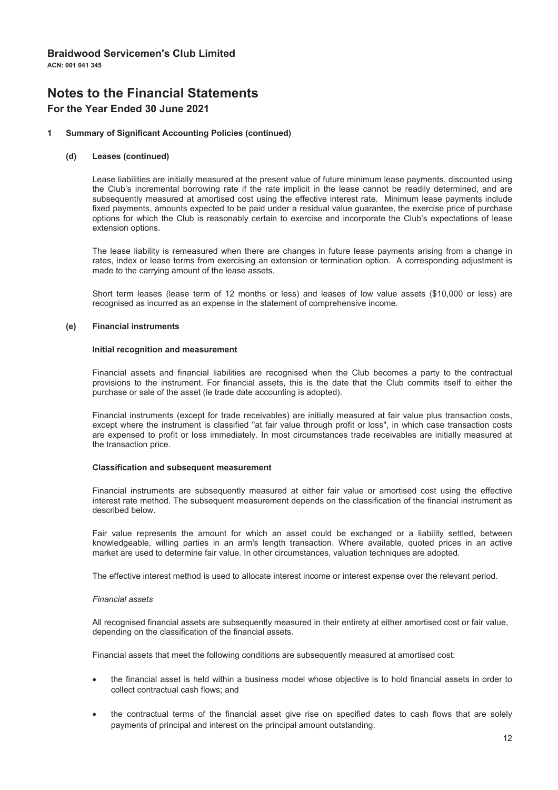# **Notes to the Financial Statements**

### For the Year Ended 30 June 2021

#### $\overline{1}$ **Summary of Significant Accounting Policies (continued)**

#### $(d)$ **Leases (continued)**

Lease liabilities are initially measured at the present value of future minimum lease payments, discounted using the Club's incremental borrowing rate if the rate implicit in the lease cannot be readily determined, and are subsequently measured at amortised cost using the effective interest rate. Minimum lease payments include fixed payments, amounts expected to be paid under a residual value guarantee, the exercise price of purchase options for which the Club is reasonably certain to exercise and incorporate the Club's expectations of lease extension options.

The lease liability is remeasured when there are changes in future lease payments arising from a change in rates, index or lease terms from exercising an extension or termination option. A corresponding adjustment is made to the carrying amount of the lease assets.

Short term leases (lease term of 12 months or less) and leases of low value assets (\$10,000 or less) are recognised as incurred as an expense in the statement of comprehensive income.

#### $(e)$ **Financial instruments**

#### Initial recognition and measurement

Financial assets and financial liabilities are recognised when the Club becomes a party to the contractual provisions to the instrument. For financial assets, this is the date that the Club commits itself to either the purchase or sale of the asset (ie trade date accounting is adopted).

Financial instruments (except for trade receivables) are initially measured at fair value plus transaction costs, except where the instrument is classified "at fair value through profit or loss", in which case transaction costs are expensed to profit or loss immediately. In most circumstances trade receivables are initially measured at the transaction price.

#### **Classification and subsequent measurement**

Financial instruments are subsequently measured at either fair value or amortised cost using the effective interest rate method. The subsequent measurement depends on the classification of the financial instrument as described below.

Fair value represents the amount for which an asset could be exchanged or a liability settled, between knowledgeable, willing parties in an arm's length transaction. Where available, quoted prices in an active market are used to determine fair value. In other circumstances, valuation techniques are adopted.

The effective interest method is used to allocate interest income or interest expense over the relevant period.

#### Financial assets

All recognised financial assets are subsequently measured in their entirety at either amortised cost or fair value, depending on the classification of the financial assets.

Financial assets that meet the following conditions are subsequently measured at amortised cost:

- the financial asset is held within a business model whose objective is to hold financial assets in order to collect contractual cash flows; and
- the contractual terms of the financial asset give rise on specified dates to cash flows that are solely payments of principal and interest on the principal amount outstanding.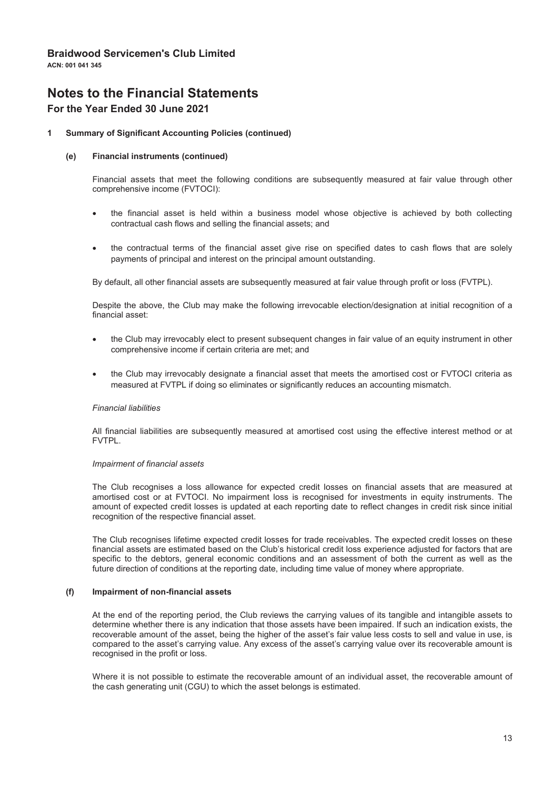# **Notes to the Financial Statements**

### For the Year Ended 30 June 2021

#### $\overline{1}$ **Summary of Significant Accounting Policies (continued)**

#### **Financial instruments (continued)**  $(e)$

Financial assets that meet the following conditions are subsequently measured at fair value through other comprehensive income (FVTOCI):

- the financial asset is held within a business model whose objective is achieved by both collecting contractual cash flows and selling the financial assets; and
- the contractual terms of the financial asset give rise on specified dates to cash flows that are solely payments of principal and interest on the principal amount outstanding.

By default, all other financial assets are subsequently measured at fair value through profit or loss (FVTPL).

Despite the above, the Club may make the following irrevocable election/designation at initial recognition of a financial asset:

- the Club may irrevocably elect to present subsequent changes in fair value of an equity instrument in other comprehensive income if certain criteria are met; and
- the Club may irrevocably designate a financial asset that meets the amortised cost or FVTOCI criteria as  $\bullet$ measured at FVTPL if doing so eliminates or significantly reduces an accounting mismatch.

#### **Financial liabilities**

All financial liabilities are subsequently measured at amortised cost using the effective interest method or at **FVTPI** 

#### Impairment of financial assets

The Club recognises a loss allowance for expected credit losses on financial assets that are measured at amortised cost or at FVTOCI. No impairment loss is recognised for investments in equity instruments. The amount of expected credit losses is updated at each reporting date to reflect changes in credit risk since initial recognition of the respective financial asset.

The Club recognises lifetime expected credit losses for trade receivables. The expected credit losses on these financial assets are estimated based on the Club's historical credit loss experience adjusted for factors that are specific to the debtors, general economic conditions and an assessment of both the current as well as the future direction of conditions at the reporting date, including time value of money where appropriate.

#### $(f)$ Impairment of non-financial assets

At the end of the reporting period, the Club reviews the carrying values of its tangible and intangible assets to determine whether there is any indication that those assets have been impaired. If such an indication exists, the recoverable amount of the asset, being the higher of the asset's fair value less costs to sell and value in use, is compared to the asset's carrying value. Any excess of the asset's carrying value over its recoverable amount is recognised in the profit or loss.

Where it is not possible to estimate the recoverable amount of an individual asset, the recoverable amount of the cash generating unit (CGU) to which the asset belongs is estimated.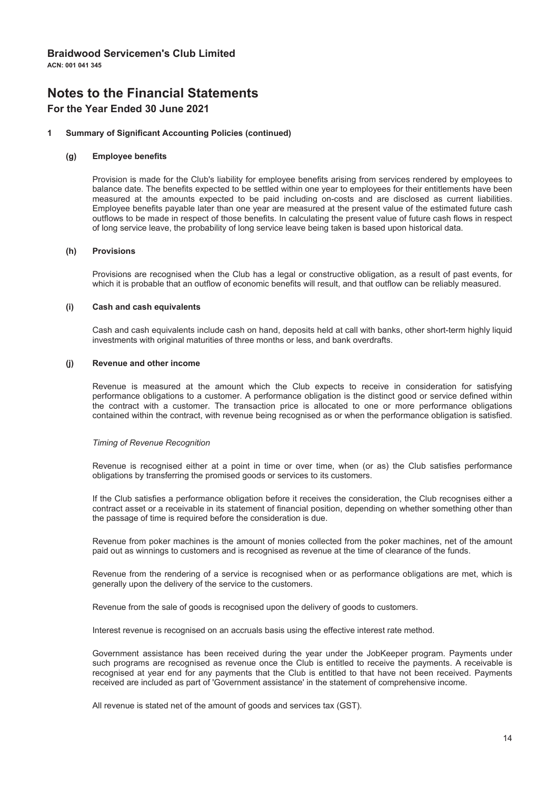# **Notes to the Financial Statements**

### For the Year Ended 30 June 2021

#### $\overline{1}$ **Summary of Significant Accounting Policies (continued)**

#### **Employee benefits**  $(q)$

Provision is made for the Club's liability for employee benefits arising from services rendered by employees to balance date. The benefits expected to be settled within one year to employees for their entitlements have been measured at the amounts expected to be paid including on-costs and are disclosed as current liabilities. Employee benefits payable later than one year are measured at the present value of the estimated future cash outflows to be made in respect of those benefits. In calculating the present value of future cash flows in respect of long service leave, the probability of long service leave being taken is based upon historical data.

#### $(h)$ **Provisions**

Provisions are recognised when the Club has a legal or constructive obligation, as a result of past events, for which it is probable that an outflow of economic benefits will result, and that outflow can be reliably measured.

#### $(i)$ **Cash and cash equivalents**

Cash and cash equivalents include cash on hand, deposits held at call with banks, other short-term highly liquid investments with original maturities of three months or less, and bank overdrafts.

#### Revenue and other income  $(i)$

Revenue is measured at the amount which the Club expects to receive in consideration for satisfying performance obligations to a customer. A performance obligation is the distinct good or service defined within the contract with a customer. The transaction price is allocated to one or more performance obligations contained within the contract, with revenue being recognised as or when the performance obligation is satisfied.

#### Timing of Revenue Recognition

Revenue is recognised either at a point in time or over time, when (or as) the Club satisfies performance obligations by transferring the promised goods or services to its customers.

If the Club satisfies a performance obligation before it receives the consideration, the Club recognises either a contract asset or a receivable in its statement of financial position, depending on whether something other than the passage of time is required before the consideration is due.

Revenue from poker machines is the amount of monies collected from the poker machines, net of the amount paid out as winnings to customers and is recognised as revenue at the time of clearance of the funds.

Revenue from the rendering of a service is recognised when or as performance obligations are met, which is generally upon the delivery of the service to the customers.

Revenue from the sale of goods is recognised upon the delivery of goods to customers.

Interest revenue is recognised on an accruals basis using the effective interest rate method.

Government assistance has been received during the year under the JobKeeper program. Payments under such programs are recognised as revenue once the Club is entitled to receive the payments. A receivable is recognised at year end for any payments that the Club is entitled to that have not been received. Payments received are included as part of 'Government assistance' in the statement of comprehensive income.

All revenue is stated net of the amount of goods and services tax (GST).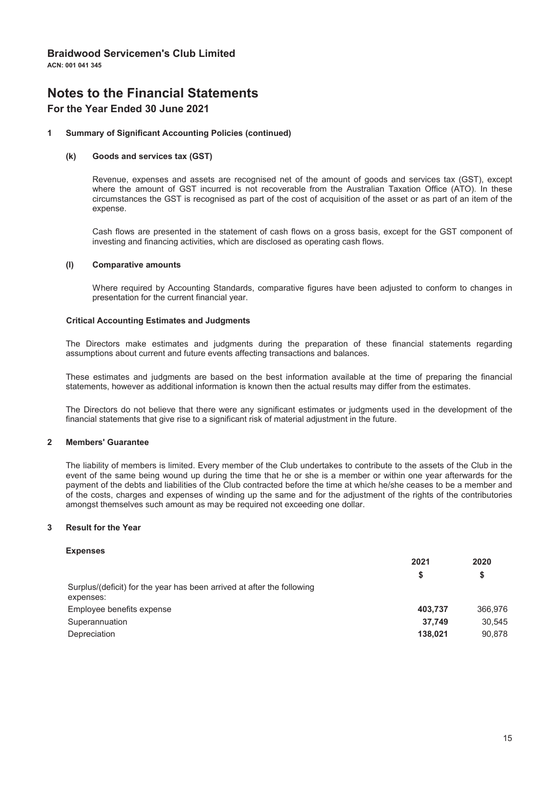# **Notes to the Financial Statements**

### For the Year Ended 30 June 2021

#### **Summary of Significant Accounting Policies (continued)**  $\overline{1}$

#### $(k)$ Goods and services tax (GST)

Revenue, expenses and assets are recognised net of the amount of goods and services tax (GST), except where the amount of GST incurred is not recoverable from the Australian Taxation Office (ATO). In these circumstances the GST is recognised as part of the cost of acquisition of the asset or as part of an item of the expense.

Cash flows are presented in the statement of cash flows on a gross basis, except for the GST component of investing and financing activities, which are disclosed as operating cash flows.

#### **Comparative amounts**  $(1)$

Where required by Accounting Standards, comparative figures have been adiusted to conform to changes in presentation for the current financial year.

#### **Critical Accounting Estimates and Judgments**

The Directors make estimates and judgments during the preparation of these financial statements regarding assumptions about current and future events affecting transactions and balances.

These estimates and judgments are based on the best information available at the time of preparing the financial statements, however as additional information is known then the actual results may differ from the estimates.

The Directors do not believe that there were any significant estimates or judgments used in the development of the financial statements that give rise to a significant risk of material adjustment in the future.

#### $\mathbf{\Omega}$ **Members' Guarantee**

The liability of members is limited. Every member of the Club undertakes to contribute to the assets of the Club in the event of the same being wound up during the time that he or she is a member or within one year afterwards for the payment of the debts and liabilities of the Club contracted before the time at which he/she ceases to be a member and of the costs, charges and expenses of winding up the same and for the adjustment of the rights of the contributories amongst themselves such amount as may be required not exceeding one dollar.

#### $\overline{\mathbf{z}}$ **Result for the Year**

#### **Expenses**

|                                                                                     | 2021    | 2020    |
|-------------------------------------------------------------------------------------|---------|---------|
|                                                                                     | S       | S       |
| Surplus/(deficit) for the year has been arrived at after the following<br>expenses: |         |         |
| Employee benefits expense                                                           | 403.737 | 366.976 |
| Superannuation                                                                      | 37.749  | 30.545  |
| Depreciation                                                                        | 138.021 | 90.878  |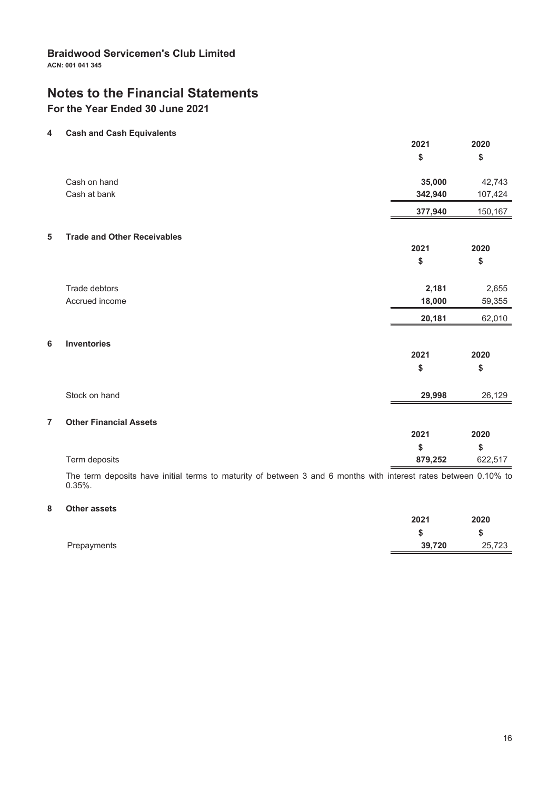# **Notes to the Financial Statements**

For the Year Ended 30 June 2021

#### $\overline{\mathbf{4}}$ **Cash and Cash Equivalents**

|                         |                                    | 2021<br>\$ | 2020<br>\$ |
|-------------------------|------------------------------------|------------|------------|
|                         | Cash on hand                       | 35,000     | 42,743     |
|                         | Cash at bank                       | 342,940    | 107,424    |
|                         |                                    | 377,940    | 150,167    |
| $\overline{\mathbf{5}}$ | <b>Trade and Other Receivables</b> |            |            |
|                         |                                    | 2021       | 2020       |
|                         |                                    | \$         | \$         |
|                         | Trade debtors                      | 2,181      | 2,655      |
|                         | Accrued income                     | 18,000     | 59,355     |
|                         |                                    | 20,181     | 62,010     |
| 6                       | <b>Inventories</b>                 |            |            |
|                         |                                    | 2021       | 2020       |
|                         |                                    | \$         | \$         |
|                         | Stock on hand                      | 29,998     | 26,129     |
| $\overline{7}$          | <b>Other Financial Assets</b>      |            |            |
|                         |                                    | 2021       | 2020       |
|                         |                                    | \$         | \$         |
|                         | Term deposits                      | 879,252    | 622,517    |

The term deposits have initial terms to maturity of between 3 and 6 months with interest rates between 0.10% to  $0.35%$ .

#### 8 Other assets

|             | 2021   | 2020   |
|-------------|--------|--------|
|             |        | -S     |
| Prepayments | 39,720 | 25,723 |
|             |        |        |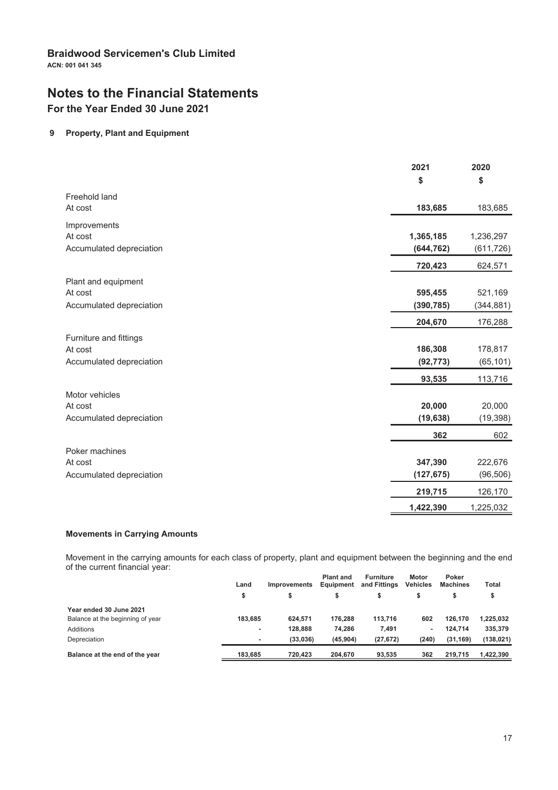# **Notes to the Financial Statements**

For the Year Ended 30 June 2021

### 9 Property, Plant and Equipment

|                          | 2021       | 2020       |
|--------------------------|------------|------------|
|                          | \$         | \$         |
| Freehold land            |            |            |
| At cost                  | 183,685    | 183,685    |
| Improvements             |            |            |
| At cost                  | 1,365,185  | 1,236,297  |
| Accumulated depreciation | (644, 762) | (611, 726) |
|                          | 720,423    | 624,571    |
| Plant and equipment      |            |            |
| At cost                  | 595,455    | 521,169    |
| Accumulated depreciation | (390, 785) | (344, 881) |
|                          | 204,670    | 176,288    |
| Furniture and fittings   |            |            |
| At cost                  | 186,308    | 178,817    |
| Accumulated depreciation | (92, 773)  | (65, 101)  |
|                          | 93,535     | 113,716    |
| Motor vehicles           |            |            |
| At cost                  | 20,000     | 20,000     |
| Accumulated depreciation | (19, 638)  | (19, 398)  |
|                          | 362        | 602        |
| Poker machines           |            |            |
| At cost                  | 347,390    | 222,676    |
| Accumulated depreciation | (127, 675) | (96, 506)  |
|                          | 219,715    | 126,170    |
|                          | 1,422,390  | 1,225,032  |

#### **Movements in Carrying Amounts**

Movement in the carrying amounts for each class of property, plant and equipment between the beginning and the end of the current financial year:

|                                  | Land    | <b>Improvements</b> | <b>Plant and</b><br>Equipment | <b>Furniture</b><br>and Fittings | <b>Motor</b><br><b>Vehicles</b> | Poker<br><b>Machines</b> | Total      |
|----------------------------------|---------|---------------------|-------------------------------|----------------------------------|---------------------------------|--------------------------|------------|
|                                  | \$      |                     |                               | \$                               |                                 |                          |            |
| Year ended 30 June 2021          |         |                     |                               |                                  |                                 |                          |            |
| Balance at the beginning of year | 183.685 | 624.571             | 176.288                       | 113.716                          | 602                             | 126.170                  | 1,225,032  |
| Additions                        | ٠       | 128.888             | 74.286                        | 7.491                            | ۰                               | 124.714                  | 335,379    |
| Depreciation                     | ٠       | (33.036)            | (45.904)                      | (27, 672)                        | (240)                           | (31, 169)                | (138, 021) |
| Balance at the end of the year   | 183.685 | 720.423             | 204.670                       | 93.535                           | 362                             | 219.715                  | 1,422,390  |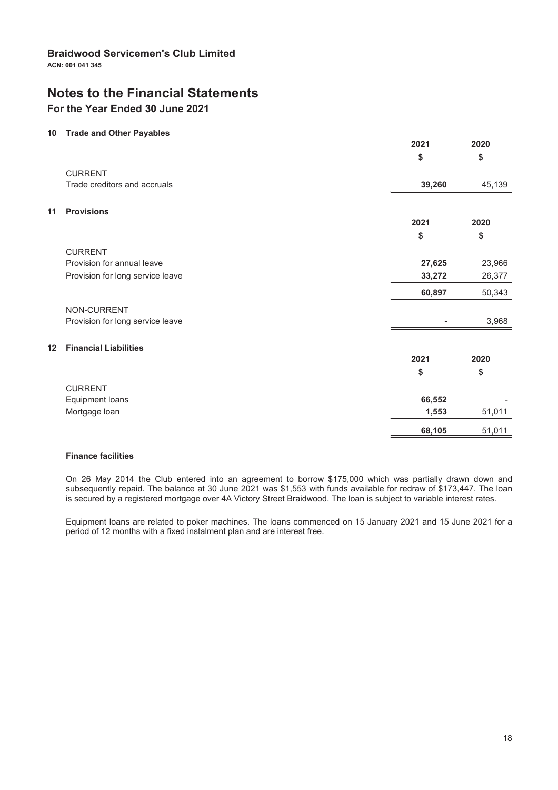# **Notes to the Financial Statements**

### For the Year Ended 30 June 2021

### 10 Trade and Other Payables

|    | <b>Have and Other Fayables</b>   | 2021   | 2020   |
|----|----------------------------------|--------|--------|
|    |                                  | \$     | \$     |
|    | <b>CURRENT</b>                   |        |        |
|    | Trade creditors and accruals     | 39,260 | 45,139 |
| 11 | <b>Provisions</b>                |        |        |
|    |                                  | 2021   | 2020   |
|    |                                  | \$     | \$     |
|    | <b>CURRENT</b>                   |        |        |
|    | Provision for annual leave       | 27,625 | 23,966 |
|    | Provision for long service leave | 33,272 | 26,377 |
|    |                                  | 60,897 | 50,343 |
|    | NON-CURRENT                      |        |        |
|    | Provision for long service leave |        | 3,968  |
| 12 | <b>Financial Liabilities</b>     |        |        |
|    |                                  | 2021   | 2020   |
|    |                                  | \$     | \$     |
|    | <b>CURRENT</b>                   |        |        |
|    | Equipment loans                  | 66,552 |        |
|    | Mortgage loan                    | 1,553  | 51,011 |
|    |                                  | 68,105 | 51,011 |

#### **Finance facilities**

On 26 May 2014 the Club entered into an agreement to borrow \$175,000 which was partially drawn down and subsequently repaid. The balance at 30 June 2021 was \$1,553 with funds available for redraw of \$173,447. The loan is secured by a registered mortgage over 4A Victory Street Braidwood. The loan is subject to variable interest rates.

Equipment loans are related to poker machines. The loans commenced on 15 January 2021 and 15 June 2021 for a period of 12 months with a fixed instalment plan and are interest free.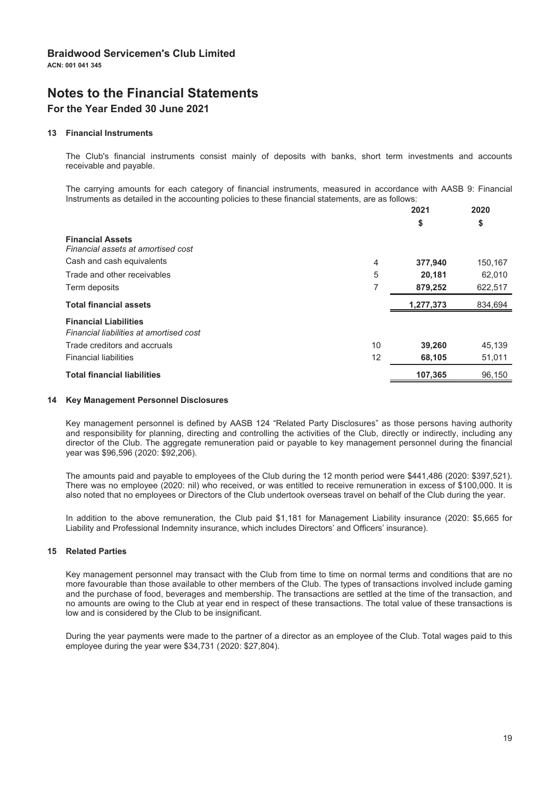# **Notes to the Financial Statements**

# For the Year Ended 30 June 2021

#### 13 Financial Instruments

The Club's financial instruments consist mainly of deposits with banks, short term investments and accounts receivable and payable.

The carrying amounts for each category of financial instruments, measured in accordance with AASB 9: Financial Instruments as detailed in the accounting policies to these financial statements, are as follows:

|                                         | 2021      | 2020    |
|-----------------------------------------|-----------|---------|
|                                         | \$        | \$      |
| <b>Financial Assets</b>                 |           |         |
| Financial assets at amortised cost      |           |         |
| Cash and cash equivalents<br>4          | 377,940   | 150,167 |
| 5<br>Trade and other receivables        | 20,181    | 62,010  |
| 7<br>Term deposits                      | 879,252   | 622,517 |
| <b>Total financial assets</b>           | 1,277,373 | 834,694 |
|                                         |           |         |
| <b>Financial Liabilities</b>            |           |         |
| Financial liabilities at amortised cost |           |         |
| 10<br>Trade creditors and accruals      | 39,260    | 45,139  |
| <b>Financial liabilities</b><br>12      | 68,105    | 51,011  |

#### 14 Key Management Personnel Disclosures

Key management personnel is defined by AASB 124 "Related Party Disclosures" as those persons having authority and responsibility for planning, directing and controlling the activities of the Club, directly or indirectly, including any director of the Club. The aggregate remuneration paid or payable to key management personnel during the financial year was \$96,596 (2020: \$92,206).

The amounts paid and payable to employees of the Club during the 12 month period were \$441,486 (2020: \$397,521). There was no employee (2020: nil) who received, or was entitled to receive remuneration in excess of \$100,000. It is also noted that no employees or Directors of the Club undertook overseas travel on behalf of the Club during the year.

In addition to the above remuneration, the Club paid \$1,181 for Management Liability insurance (2020: \$5,665 for Liability and Professional Indemnity insurance, which includes Directors' and Officers' insurance).

#### **15 Related Parties**

Key management personnel may transact with the Club from time to time on normal terms and conditions that are no more favourable than those available to other members of the Club. The types of transactions involved include gaming and the purchase of food, beverages and membership. The transactions are settled at the time of the transaction, and no amounts are owing to the Club at year end in respect of these transactions. The total value of these transactions is low and is considered by the Club to be insignificant.

During the year payments were made to the partner of a director as an employee of the Club. Total wages paid to this employee during the year were \$34,731 (2020: \$27,804).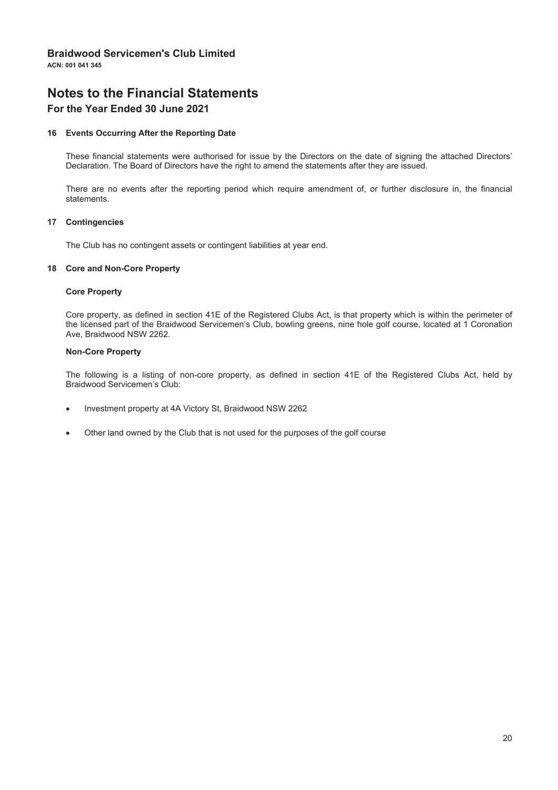ACN: 001 041 345

# **Notes to the Financial Statements**

### For the Year Ended 30 June 2021

#### 16 Events Occurring After the Reporting Date

These financial statements were authorised for issue by the Directors on the date of signing the attached Directors' Declaration. The Board of Directors have the right to amend the statements after they are issued.

There are no events after the reporting period which require amendment of, or further disclosure in, the financial statements.

#### 17 Contingencies

The Club has no contingent assets or contingent liabilities at year end.

#### 18 Core and Non-Core Property

#### **Core Property**

Core property, as defined in section 41E of the Registered Clubs Act, is that property which is within the perimeter of the licensed part of the Braidwood Servicemen's Club, bowling greens, nine hole golf course, located at 1 Coronation Ave. Braidwood NSW 2262.

#### **Non-Core Property**

The following is a listing of non-core property, as defined in section 41E of the Registered Clubs Act, held by Braidwood Servicemen's Club:

- Investment property at 4A Victory St, Braidwood NSW 2262
- Other land owned by the Club that is not used for the purposes of the golf course  $\bullet$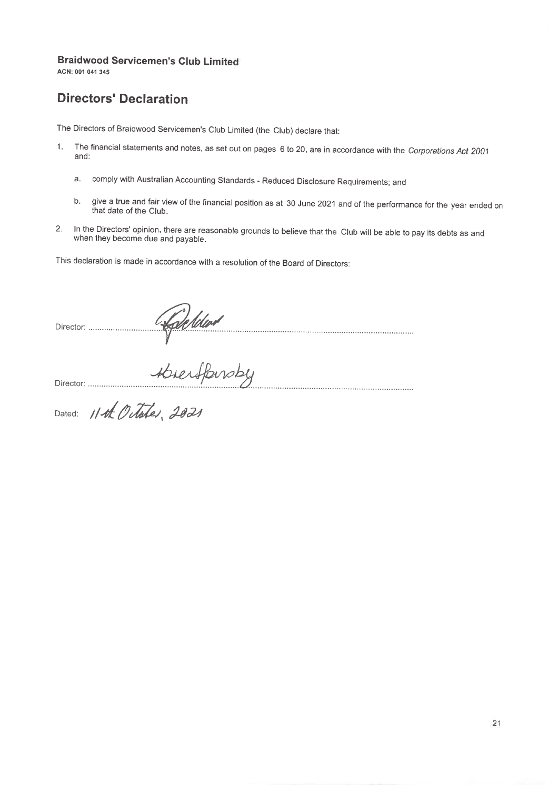ACN: 001 041 345

# **Directors' Declaration**

The Directors of Braidwood Servicemen's Club Limited (the Club) declare that:

- The financial statements and notes, as set out on pages 6 to 20, are in accordance with the Corporations Act 2001  $1.$ and:
	- comply with Australian Accounting Standards Reduced Disclosure Requirements; and a.
	- give a true and fair view of the financial position as at 30 June 2021 and of the performance for the year ended on b. that date of the Club.
- In the Directors' opinion, there are reasonable grounds to believe that the Club will be able to pay its debts as and 2. when they become due and payable.

This declaration is made in accordance with a resolution of the Board of Directors: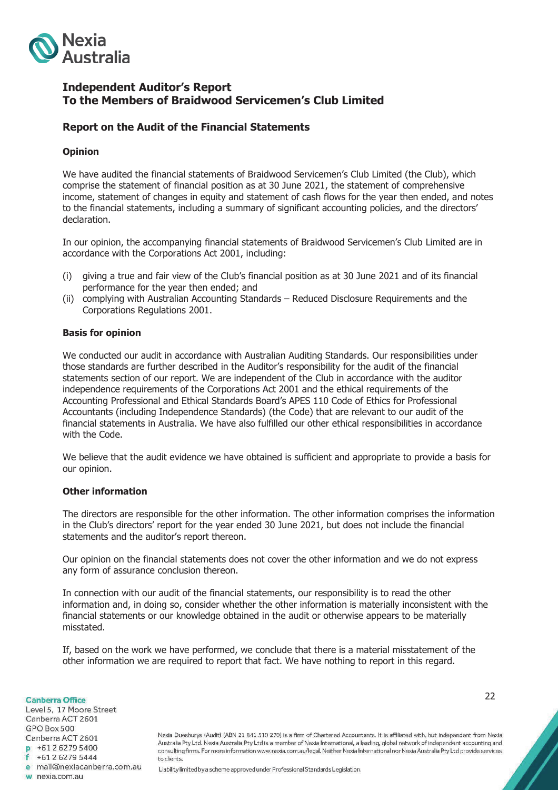

### **Independent Auditor's Report To the Members of Braidwood Servicemen's Club Limited**

### **Report on the Audit of the Financial Statements**

### **Opinion**

We have audited the financial statements of Braidwood Servicemen's Club Limited (the Club), which comprise the statement of financial position as at 30 June 2021, the statement of comprehensive income, statement of changes in equity and statement of cash flows for the year then ended, and notes to the financial statements, including a summary of significant accounting policies, and the directors' declaration.

In our opinion, the accompanying financial statements of Braidwood Servicemen's Club Limited are in accordance with the Corporations Act 2001, including:

- (i) giving a true and fair view of the Club's financial position as at 30 June 2021 and of its financial performance for the year then ended; and
- (ii) complying with Australian Accounting Standards Reduced Disclosure Requirements and the Corporations Regulations 2001.

### **Basis for opinion**

We conducted our audit in accordance with Australian Auditing Standards. Our responsibilities under those standards are further described in the Auditor's responsibility for the audit of the financial statements section of our report. We are independent of the Club in accordance with the auditor independence requirements of the Corporations Act 2001 and the ethical requirements of the Accounting Professional and Ethical Standards Board's APES 110 Code of Ethics for Professional Accountants (including Independence Standards) (the Code) that are relevant to our audit of the financial statements in Australia. We have also fulfilled our other ethical responsibilities in accordance with the Code.

We believe that the audit evidence we have obtained is sufficient and appropriate to provide a basis for our opinion.

### **Other information**

The directors are responsible for the other information. The other information comprises the information in the Club's directors' report for the year ended 30 June 2021, but does not include the financial statements and the auditor's report thereon.

Our opinion on the financial statements does not cover the other information and we do not express any form of assurance conclusion thereon.

In connection with our audit of the financial statements, our responsibility is to read the other information and, in doing so, consider whether the other information is materially inconsistent with the financial statements or our knowledge obtained in the audit or otherwise appears to be materially misstated.

If, based on the work we have performed, we conclude that there is a material misstatement of the other information we are required to report that fact. We have nothing to report in this regard.

**Canberra Office** Level 5, 17 Moore Street Canberra ACT 2601 GPO Box 500 Canberra ACT 2601  $-61262795400$  $f$  +61 2 6279 5444 e mail@nexiacanberra.com.au w nexia.com.au

22

Nexia Duesburys (Audit) (ABN 21 841 510 270) is a firm of Chartered Accountants. It is affiliated with, but independent from Nexia Australia Pty Ltd. Nexia Australia Pty Ltd is a member of Nexia International, a leading, global network of independent accounting and consulting firms. For more information www.nexia.com.au/legal. Neither Nexia International nor Nexia Australia Pty Ltd provide services to clients